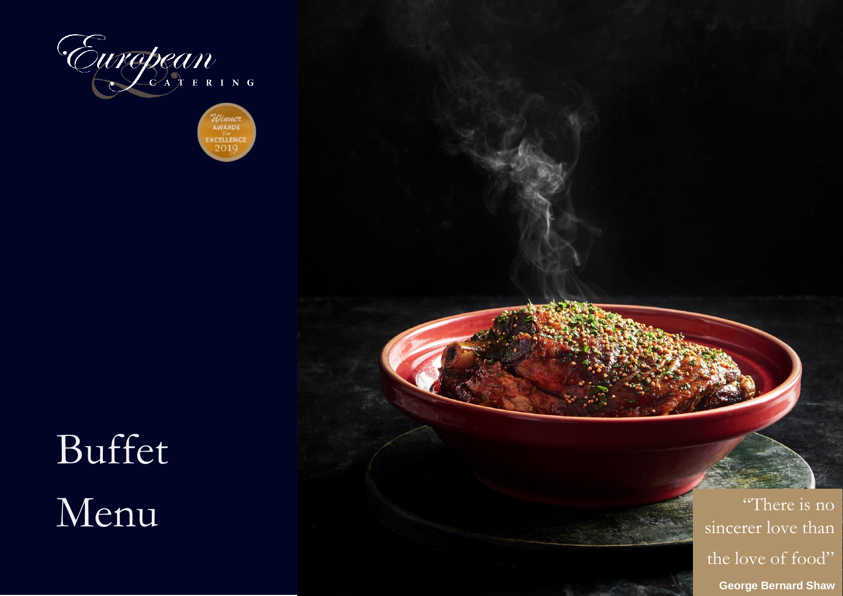

Wiscocert<br>AWARDS **EXCELLENCE**  $201$ 

# Buffet

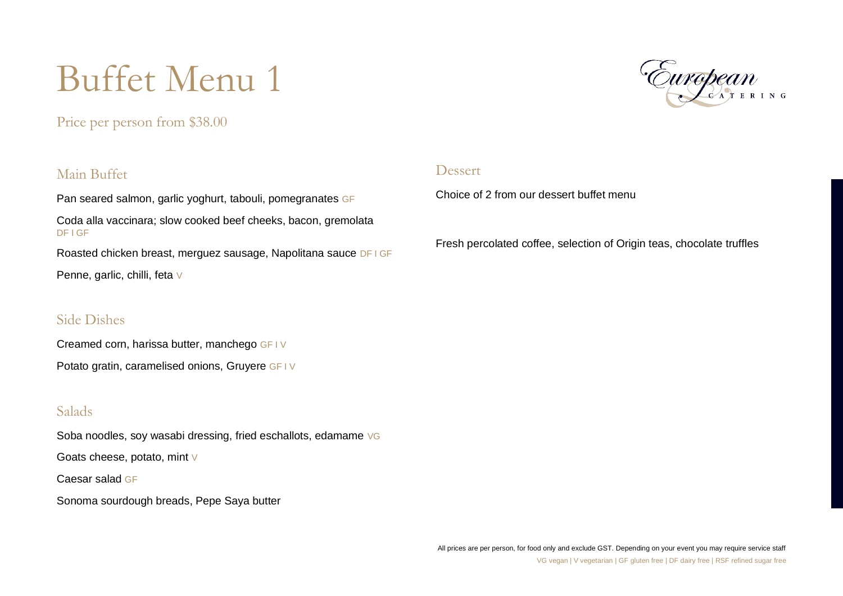# Buffet Menu 1

# Price per person from \$38.00

## Main Buffet

Pan seared salmon, garlic yoghurt, tabouli, pomegranates GF Coda alla vaccinara; slow cooked beef cheeks, bacon, gremolata DF I GF Roasted chicken breast, merguez sausage, Napolitana sauce DF I GF Penne, garlic, chilli, feta V

#### Side Dishes

Creamed corn, harissa butter, manchego GF I V Potato gratin, caramelised onions, Gruyere GF IV

## Salads

Soba noodles, soy wasabi dressing, fried eschallots, edamame VG Goats cheese, potato, mint V Caesar salad GF

Sonoma sourdough breads, Pepe Saya butter



#### Dessert

Choice of 2 from our dessert buffet menu

Fresh percolated coffee, selection of Origin teas, chocolate truffles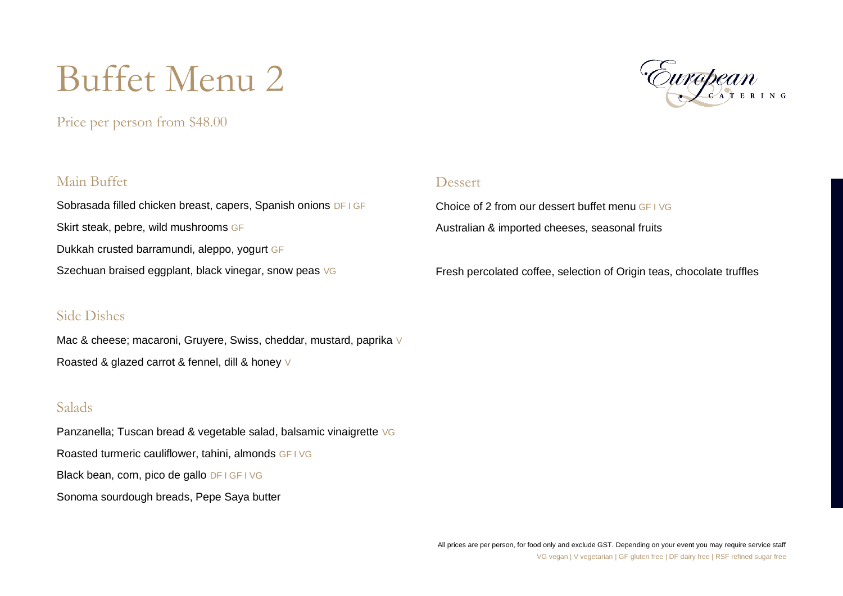# Buffet Menu 2

Price per person from \$48.00



#### Main Buffet

Sobrasada filled chicken breast, capers, Spanish onions DF I GF Skirt steak, pebre, wild mushrooms GF Dukkah crusted barramundi, aleppo, yogurt GF Szechuan braised eggplant, black vinegar, snow peas VG

#### Side Dishes

Mac & cheese; macaroni, Gruyere, Swiss, cheddar, mustard, paprika V Roasted & glazed carrot & fennel, dill & honey V

## Salads

Panzanella; Tuscan bread & vegetable salad, balsamic vinaigrette VG Roasted turmeric cauliflower, tahini, almonds GF I VG Black bean, corn, pico de gallo DF I GF I VG Sonoma sourdough breads, Pepe Saya butter

#### Dessert

Choice of 2 from our dessert buffet menu GF I VG Australian & imported cheeses, seasonal fruits

Fresh percolated coffee, selection of Origin teas, chocolate truffles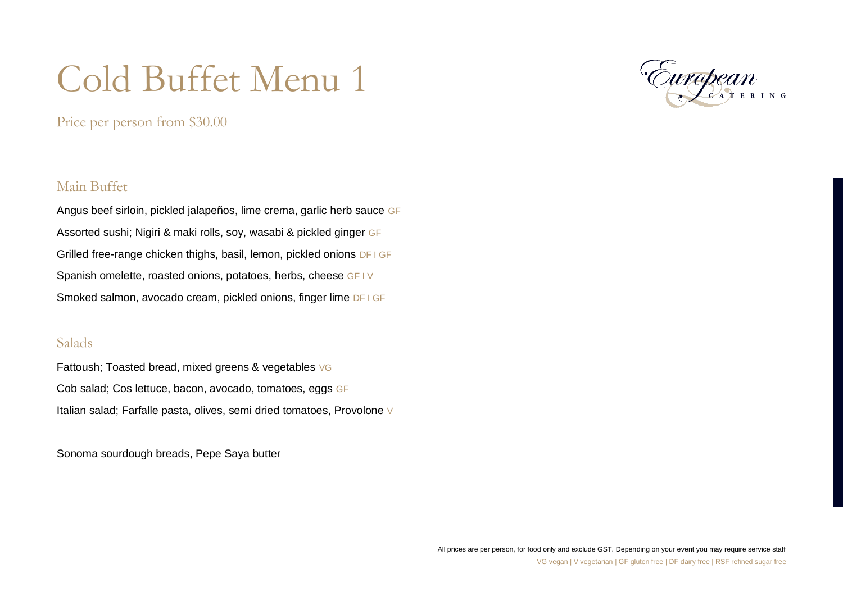# Cold Buffet Menu 1

European

Price per person from \$30.00

#### Main Buffet

Angus beef sirloin, pickled jalapeños, lime crema, garlic herb sauce GF Assorted sushi; Nigiri & maki rolls, soy, wasabi & pickled ginger GF Grilled free-range chicken thighs, basil, lemon, pickled onions DF I GF Spanish omelette, roasted onions, potatoes, herbs, cheese GF IV Smoked salmon, avocado cream, pickled onions, finger lime DF I GF

## Salads

Fattoush; Toasted bread, mixed greens & vegetables VG Cob salad; Cos lettuce, bacon, avocado, tomatoes, eggs GF Italian salad; Farfalle pasta, olives, semi dried tomatoes, Provolone V

Sonoma sourdough breads, Pepe Saya butter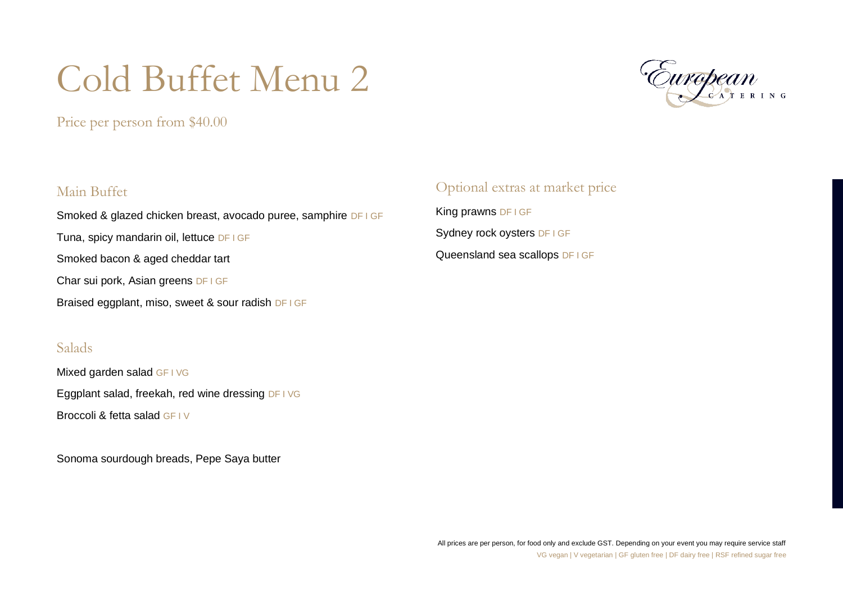# Cold Buffet Menu 2

Price per person from \$40.00



#### Main Buffet

Smoked & glazed chicken breast, avocado puree, samphire DF I GF Tuna, spicy mandarin oil, lettuce DF I GF Smoked bacon & aged cheddar tart Char sui pork, Asian greens DF I GF Braised eggplant, miso, sweet & sour radish DF I GF

## Salads

Mixed garden salad GF I VG Eggplant salad, freekah, red wine dressing DF I VG Broccoli & fetta salad GF IV

Sonoma sourdough breads, Pepe Saya butter

Optional extras at market price King prawns DF I GF Sydney rock oysters DF I GF Queensland sea scallops DF I GF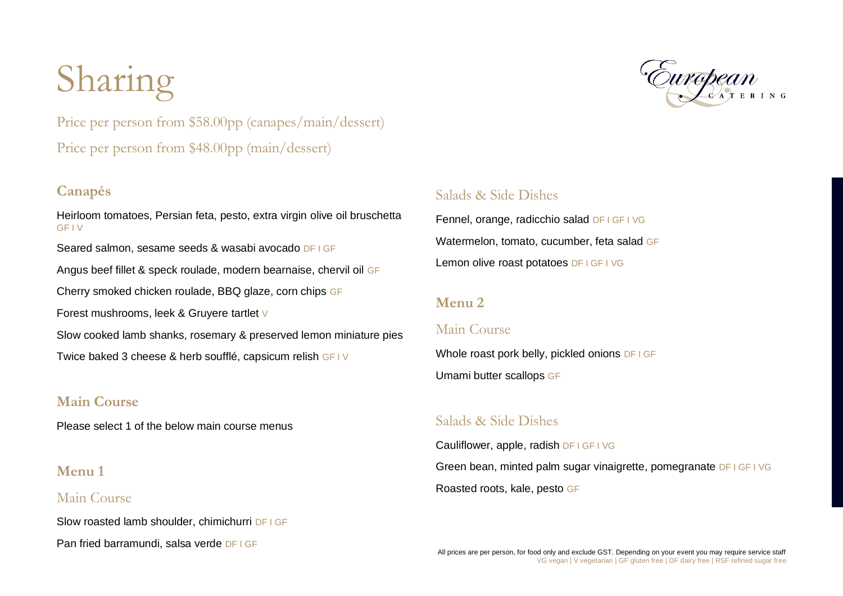# Sharing

Price per person from \$58.00pp (canapes/main/dessert) Price per person from \$48.00pp (main/dessert)

## **Canapés**

Heirloom tomatoes, Persian feta, pesto, extra virgin olive oil bruschetta GF I V Seared salmon, sesame seeds & wasabi avocado DF I GF Angus beef fillet & speck roulade, modern bearnaise, chervil oil GF Cherry smoked chicken roulade, BBQ glaze, corn chips GF Forest mushrooms, leek & Gruyere tartlet V Slow cooked lamb shanks, rosemary & preserved lemon miniature pies Twice baked 3 cheese & herb soufflé, capsicum relish GF I V

# **Main Course**

Please select 1 of the below main course menus

# **Menu 1**

# Main Course

Slow roasted lamb shoulder, chimichurri DF I GF Pan fried barramundi, salsa verde DF I GF



# Salads & Side Dishes

Fennel, orange, radicchio salad DF I GF I VG Watermelon, tomato, cucumber, feta salad GF Lemon olive roast potatoes DF I GF I VG

# **Menu 2**

# Main Course

Whole roast pork belly, pickled onions DF I GF Umami butter scallops GF

# Salads & Side Dishes

Cauliflower, apple, radish DF I GF I VG Green bean, minted palm sugar vinaigrette, pomegranate DF I GF I VG Roasted roots, kale, pesto GF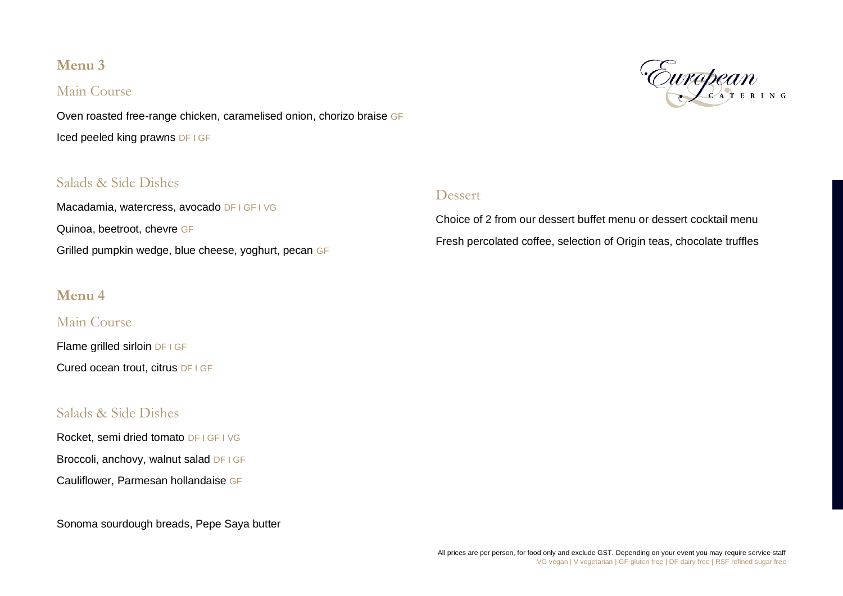## **Menu 3**

#### Main Course

Oven roasted free-range chicken, caramelised onion, chorizo braise GF Iced peeled king prawns DF I GF

#### Salads & Side Dishes

Macadamia, watercress, avocado DF I GF I VG Quinoa, beetroot, chevre GF Grilled pumpkin wedge, blue cheese, yoghurt, pecan GF

## **Menu 4**

## Main Course

Flame grilled sirloin DF I GF Cured ocean trout, citrus DF I GF

## Salads & Side Dishes

Rocket, semi dried tomato DF I GF I VG Broccoli, anchovy, walnut salad DF I GF Cauliflower, Parmesan hollandaise GF

Sonoma sourdough breads, Pepe Saya butter



#### Dessert

Choice of 2 from our dessert buffet menu or dessert cocktail menu Fresh percolated coffee, selection of Origin teas, chocolate truffles